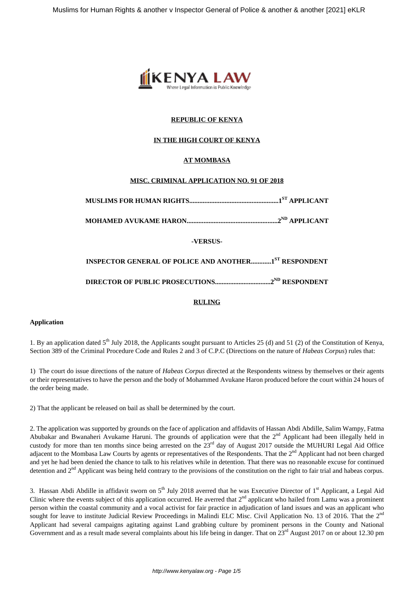

## **REPUBLIC OF KENYA**

## **IN THE HIGH COURT OF KENYA**

## **AT MOMBASA**

## **MISC. CRIMINAL APPLICATION NO. 91 OF 2018**

**MUSLIMS FOR HUMAN RIGHTS.....................................................1ST APPLICANT**

**MOHAMED AVUKAME HARON......................................................2ND APPLICANT**

**-VERSUS-**

**INSPECTOR GENERAL OF POLICE AND ANOTHER............1ST RESPONDENT**

**DIRECTOR OF PUBLIC PROSECUTIONS.................................2ND RESPONDENT**

## **RULING**

## **Application**

1. By an application dated  $5<sup>th</sup>$  July 2018, the Applicants sought pursuant to Articles 25 (d) and 51 (2) of the Constitution of Kenya, Section 389 of the Criminal Procedure Code and Rules 2 and 3 of C.P.C (Directions on the nature of *Habeas Corpus*) rules that:

1) The court do issue directions of the nature of *Habeas Corpus* directed at the Respondents witness by themselves or their agents or their representatives to have the person and the body of Mohammed Avukane Haron produced before the court within 24 hours of the order being made.

2) That the applicant be released on bail as shall be determined by the court.

2. The application was supported by grounds on the face of application and affidavits of Hassan Abdi Abdille, Salim Wampy, Fatma Abubakar and Bwanaheri Avukame Haruni. The grounds of application were that the 2<sup>nd</sup> Applicant had been illegally held in custody for more than ten months since being arrested on the 23rd day of August 2017 outside the MUHURI Legal Aid Office adjacent to the Mombasa Law Courts by agents or representatives of the Respondents. That the 2<sup>nd</sup> Applicant had not been charged and yet he had been denied the chance to talk to his relatives while in detention. That there was no reasonable excuse for continued detention and 2<sup>nd</sup> Applicant was being held contrary to the provisions of the constitution on the right to fair trial and habeas corpus.

3. Hassan Abdi Abdille in affidavit sworn on  $5<sup>th</sup>$  July 2018 averred that he was Executive Director of  $1<sup>st</sup>$  Applicant, a Legal Aid Clinic where the events subject of this application occurred. He averred that  $2<sup>nd</sup>$  applicant who hailed from Lamu was a prominent person within the coastal community and a vocal activist for fair practice in adjudication of land issues and was an applicant who sought for leave to institute Judicial Review Proceedings in Malindi ELC Misc. Civil Application No. 13 of 2016. That the 2<sup>nd</sup> Applicant had several campaigns agitating against Land grabbing culture by prominent persons in the County and National Government and as a result made several complaints about his life being in danger. That on  $23<sup>rd</sup>$  August 2017 on or about 12.30 pm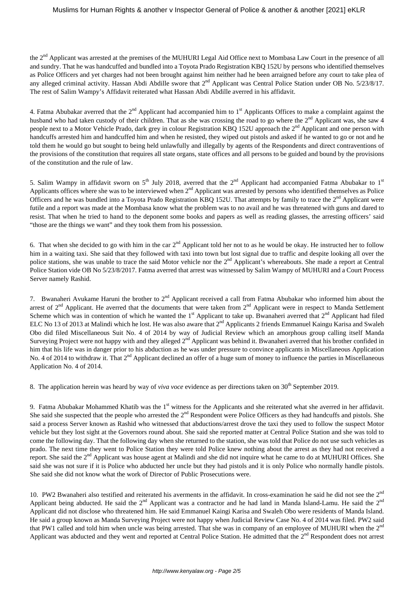the 2<sup>nd</sup> Applicant was arrested at the premises of the MUHURI Legal Aid Office next to Mombasa Law Court in the presence of all and sundry. That he was handcuffed and bundled into a Toyota Prado Registration KBQ 152U by persons who identified themselves as Police Officers and yet charges had not been brought against him neither had he been arraigned before any court to take plea of any alleged criminal activity. Hassan Abdi Abdille swore that  $2^{nd}$  Applicant was Central Police Station under OB No. 5/23/8/17. The rest of Salim Wampy's Affidavit reiterated what Hassan Abdi Abdille averred in his affidavit.

4. Fatma Abubakar averred that the  $2^{nd}$  Applicant had accompanied him to  $1^{st}$  Applicants Offices to make a complaint against the husband who had taken custody of their children. That as she was crossing the road to go where the  $2<sup>nd</sup>$  Applicant was, she saw 4 people next to a Motor Vehicle Prado, dark grey in colour Registration KBQ 152U approach the 2<sup>nd</sup> Applicant and one person with handcuffs arrested him and handcuffed him and when he resisted, they wiped out pistols and asked if he wanted to go or not and he told them he would go but sought to being held unlawfully and illegally by agents of the Respondents and direct contraventions of the provisions of the constitution that requires all state organs, state offices and all persons to be guided and bound by the provisions of the constitution and the rule of law.

5. Salim Wampy in affidavit sworn on  $5<sup>th</sup>$  July 2018, averred that the  $2<sup>nd</sup>$  Applicant had accompanied Fatma Abubakar to  $1<sup>st</sup>$ Applicants offices where she was to be interviewed when  $2<sup>nd</sup>$  Applicant was arrested by persons who identified themselves as Police Officers and he was bundled into a Toyota Prado Registration KBQ 152U. That attempts by family to trace the  $2<sup>nd</sup>$  Applicant were futile and a report was made at the Mombasa know what the problem was to no avail and he was threatened with guns and dared to resist. That when he tried to hand to the deponent some books and papers as well as reading glasses, the arresting officers' said "those are the things we want" and they took them from his possession.

6. That when she decided to go with him in the car  $2^{nd}$  Applicant told her not to as he would be okay. He instructed her to follow him in a waiting taxi. She said that they followed with taxi into town but lost signal due to traffic and despite looking all over the police stations, she was unable to trace the said Motor vehicle nor the 2<sup>nd</sup> Applicant's whereabouts. She made a report at Central Police Station vide OB No 5/23/8/2017. Fatma averred that arrest was witnessed by Salim Wampy of MUHURI and a Court Process Server namely Rashid.

7. Bwanaheri Avukame Haruni the brother to  $2<sup>nd</sup>$  Applicant received a call from Fatma Abubakar who informed him about the arrest of  $2<sup>nd</sup>$  Applicant. He averred that the documents that were taken from  $2<sup>nd</sup>$  Applicant were in respect to Manda Settlement Scheme which was in contention of which he wanted the  $1<sup>st</sup>$  Applicant to take up. Bwanaheri averred that  $2<sup>nd</sup>$  Applicant had filed ELC No 13 of 2013 at Malindi which he lost. He was also aware that 2<sup>nd</sup> Applicants 2 friends Emmanuel Kaingu Karisa and Swaleh Obo did filed Miscellaneous Suit No. 4 of 2014 by way of Judicial Review which an amorphous group calling itself Manda Surveying Project were not happy with and they alleged 2<sup>nd</sup> Applicant was behind it. Bwanaheri averred that his brother confided in him that his life was in danger prior to his abduction as he was under pressure to convince applicants in Miscellaneous Application No. 4 of 2014 to withdraw it. That 2<sup>nd</sup> Applicant declined an offer of a huge sum of money to influence the parties in Miscellaneous Application No. 4 of 2014.

8. The application herein was heard by way of *viva voce* evidence as per directions taken on 30<sup>th</sup> September 2019.

9. Fatma Abubakar Mohammed Khatib was the  $1<sup>st</sup>$  witness for the Applicants and she reiterated what she averred in her affidavit. She said she suspected that the people who arrested the  $2<sup>nd</sup>$  Respondent were Police Officers as they had handcuffs and pistols. She said a process Server known as Rashid who witnessed that abductions/arrest drove the taxi they used to follow the suspect Motor vehicle but they lost sight at the Governors round about. She said she reported matter at Central Police Station and she was told to come the following day. That the following day when she returned to the station, she was told that Police do not use such vehicles as prado. The next time they went to Police Station they were told Police knew nothing about the arrest as they had not received a report. She said the 2<sup>nd</sup> Applicant was house agent at Malindi and she did not inquire what he came to do at MUHURI Offices. She said she was not sure if it is Police who abducted her uncle but they had pistols and it is only Police who normally handle pistols. She said she did not know what the work of Director of Public Prosecutions were.

10. PW2 Bwanaheri also testified and reiterated his averments in the affidavit. In cross-examination he said he did not see the  $2<sup>nd</sup>$ Applicant being abducted. He said the  $2^{nd}$  Applicant was a contractor and he had land in Manda Island-Lamu. He said the  $2^{nd}$ Applicant did not disclose who threatened him. He said Emmanuel Kaingi Karisa and Swaleh Obo were residents of Manda Island. He said a group known as Manda Surveying Project were not happy when Judicial Review Case No. 4 of 2014 was filed. PW2 said that PW1 called and told him when uncle was being arrested. That she was in company of an employee of MUHURI when the 2<sup>nd</sup> Applicant was abducted and they went and reported at Central Police Station. He admitted that the 2<sup>nd</sup> Respondent does not arrest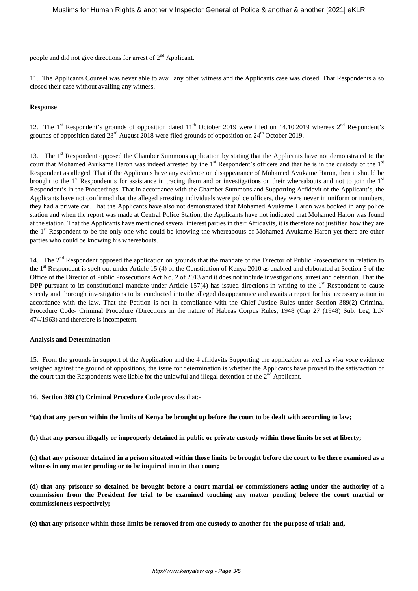people and did not give directions for arrest of  $2<sup>nd</sup>$  Applicant.

11. The Applicants Counsel was never able to avail any other witness and the Applicants case was closed. That Respondents also closed their case without availing any witness.

### **Response**

12. The 1<sup>st</sup> Respondent's grounds of opposition dated  $11<sup>th</sup>$  October 2019 were filed on 14.10.2019 whereas  $2<sup>nd</sup>$  Respondent's grounds of opposition dated  $23<sup>rd</sup>$  August 2018 were filed grounds of opposition on  $24<sup>th</sup>$  October 2019.

13. The 1<sup>st</sup> Respondent opposed the Chamber Summons application by stating that the Applicants have not demonstrated to the court that Mohamed Avukame Haron was indeed arrested by the 1<sup>st</sup> Respondent's officers and that he is in the custody of the 1<sup>st</sup> Respondent as alleged. That if the Applicants have any evidence on disappearance of Mohamed Avukame Haron, then it should be brought to the  $1<sup>st</sup>$  Respondent's for assistance in tracing them and or investigations on their whereabouts and not to join the  $1<sup>st</sup>$ Respondent's in the Proceedings. That in accordance with the Chamber Summons and Supporting Affidavit of the Applicant's, the Applicants have not confirmed that the alleged arresting individuals were police officers, they were never in uniform or numbers, they had a private car. That the Applicants have also not demonstrated that Mohamed Avukame Haron was booked in any police station and when the report was made at Central Police Station, the Applicants have not indicated that Mohamed Haron was found at the station. That the Applicants have mentioned several interest parties in their Affidavits, it is therefore not justified how they are the 1<sup>st</sup> Respondent to be the only one who could be knowing the whereabouts of Mohamed Avukame Haron yet there are other parties who could be knowing his whereabouts.

14. The 2<sup>nd</sup> Respondent opposed the application on grounds that the mandate of the Director of Public Prosecutions in relation to the 1<sup>st</sup> Respondent is spelt out under Article 15 (4) of the Constitution of Kenya 2010 as enabled and elaborated at Section 5 of the Office of the Director of Public Prosecutions Act No. 2 of 2013 and it does not include investigations, arrest and detention. That the DPP pursuant to its constitutional mandate under Article 157(4) has issued directions in writing to the  $1<sup>st</sup>$  Respondent to cause speedy and thorough investigations to be conducted into the alleged disappearance and awaits a report for his necessary action in accordance with the law. That the Petition is not in compliance with the Chief Justice Rules under Section 389(2) Criminal Procedure Code- Criminal Procedure (Directions in the nature of Habeas Corpus Rules, 1948 (Cap 27 (1948) Sub. Leg, L.N 474/1963) and therefore is incompetent.

#### **Analysis and Determination**

15. From the grounds in support of the Application and the 4 affidavits Supporting the application as well as *viva voce* evidence weighed against the ground of oppositions, the issue for determination is whether the Applicants have proved to the satisfaction of the court that the Respondents were liable for the unlawful and illegal detention of the 2<sup>nd</sup> Applicant.

16. **Section 389 (1) Criminal Procedure Code** provides that:-

**"(a) that any person within the limits of Kenya be brought up before the court to be dealt with according to law;**

**(b) that any person illegally or improperly detained in public or private custody within those limits be set at liberty;**

**(c) that any prisoner detained in a prison situated within those limits be brought before the court to be there examined as a witness in any matter pending or to be inquired into in that court;**

**(d) that any prisoner so detained be brought before a court martial or commissioners acting under the authority of a commission from the President for trial to be examined touching any matter pending before the court martial or commissioners respectively;**

**(e) that any prisoner within those limits be removed from one custody to another for the purpose of trial; and,**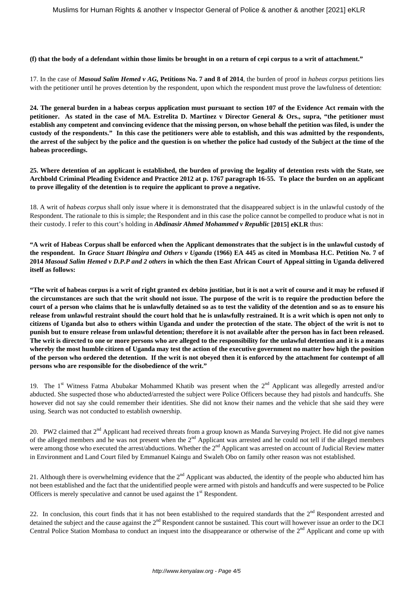**(f) that the body of a defendant within those limits be brought in on a return of cepi corpus to a writ of attachment."**

17. In the case of *Masoud Salim Hemed v AG,* **Petitions No. 7 and 8 of 2014**, the burden of proof in *habeas corpus* petitions lies with the petitioner until he proves detention by the respondent, upon which the respondent must prove the lawfulness of detention:

**24. The general burden in a habeas corpus application must pursuant to section 107 of the Evidence Act remain with the petitioner. As stated in the case of MA. Estrelita D. Martinez v Director General & Ors., supra, "the petitioner must establish any competent and convincing evidence that the missing person, on whose behalf the petition was filed, is under the custody of the respondents." In this case the petitioners were able to establish, and this was admitted by the respondents, the arrest of the subject by the police and the question is on whether the police had custody of the Subject at the time of the habeas proceedings.**

**25. Where detention of an applicant is established, the burden of proving the legality of detention rests with the State, see Archbold Criminal Pleading Evidence and Practice 2012 at p. 1767 paragraph 16-55. To place the burden on an applicant to prove illegality of the detention is to require the applicant to prove a negative.**

18. A writ of *habeas corpus* shall only issue where it is demonstrated that the disappeared subject is in the unlawful custody of the Respondent. The rationale to this is simple; the Respondent and in this case the police cannot be compelled to produce what is not in their custody. I refer to this court's holding in *Abdinasir Ahmed Mohammed v Republic* **[2015] eKLR** thus:

**"A writ of Habeas Corpus shall be enforced when the Applicant demonstrates that the subject is in the unlawful custody of the respondent. In** *Grace Stuart Ibingira and Others v Uganda* **(1966) EA 445 as cited in Mombasa H.C. Petition No. 7 of 2014** *Masoud Salim Hemed v D.P.P and 2 others* **in which the then East African Court of Appeal sitting in Uganda delivered itself as follows:**

**"The writ of habeas corpus is a writ of right granted ex debito justitiae, but it is not a writ of course and it may be refused if the circumstances are such that the writ should not issue. The purpose of the writ is to require the production before the court of a person who claims that he is unlawfully detained so as to test the validity of the detention and so as to ensure his release from unlawful restraint should the court hold that he is unlawfully restrained. It is a writ which is open not only to citizens of Uganda but also to others within Uganda and under the protection of the state. The object of the writ is not to punish but to ensure release from unlawful detention; therefore it is not available after the person has in fact been released. The writ is directed to one or more persons who are alleged to the responsibility for the unlawful detention and it is a means whereby the most humble citizen of Uganda may test the action of the executive government no matter how high the position of the person who ordered the detention. If the writ is not obeyed then it is enforced by the attachment for contempt of all persons who are responsible for the disobedience of the writ."**

19. The 1<sup>st</sup> Witness Fatma Abubakar Mohammed Khatib was present when the  $2<sup>nd</sup>$  Applicant was allegedly arrested and/or abducted. She suspected those who abducted/arrested the subject were Police Officers because they had pistols and handcuffs. She however did not say she could remember their identities. She did not know their names and the vehicle that she said they were using. Search was not conducted to establish ownership.

20. PW2 claimed that 2<sup>nd</sup> Applicant had received threats from a group known as Manda Surveying Project. He did not give names of the alleged members and he was not present when the  $2<sup>nd</sup>$  Applicant was arrested and he could not tell if the alleged members were among those who executed the arrest/abductions. Whether the 2<sup>nd</sup> Applicant was arrested on account of Judicial Review matter in Environment and Land Court filed by Emmanuel Kaingu and Swaleh Obo on family other reason was not established.

21. Although there is overwhelming evidence that the  $2<sup>nd</sup>$  Applicant was abducted, the identity of the people who abducted him has not been established and the fact that the unidentified people were armed with pistols and handcuffs and were suspected to be Police Officers is merely speculative and cannot be used against the  $1<sup>st</sup>$  Respondent.

22. In conclusion, this court finds that it has not been established to the required standards that the  $2<sup>nd</sup>$  Respondent arrested and detained the subject and the cause against the  $2<sup>nd</sup>$  Respondent cannot be sustained. This court will however issue an order to the DCI Central Police Station Mombasa to conduct an inquest into the disappearance or otherwise of the  $2<sup>nd</sup>$  Applicant and come up with